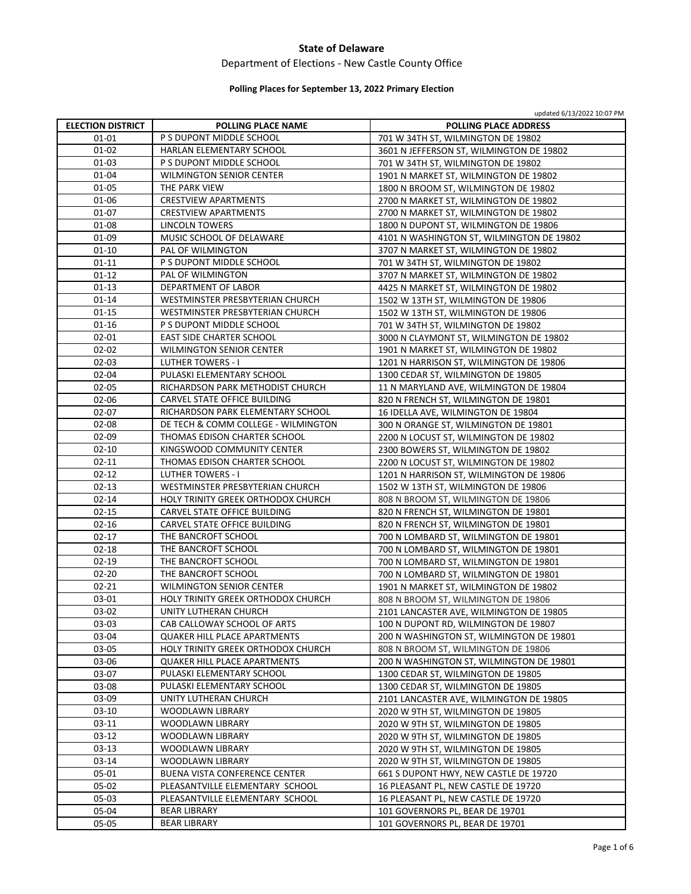# Department of Elections ‐ New Castle County Office

# **Polling Places for September 13, 2022 Primary Election**

|                          |                                      | updated 6/13/2022 10:07 PM                |
|--------------------------|--------------------------------------|-------------------------------------------|
| <b>ELECTION DISTRICT</b> | <b>POLLING PLACE NAME</b>            | <b>POLLING PLACE ADDRESS</b>              |
| 01-01                    | P S DUPONT MIDDLE SCHOOL             | 701 W 34TH ST, WILMINGTON DE 19802        |
| $01 - 02$                | HARLAN ELEMENTARY SCHOOL             | 3601 N JEFFERSON ST, WILMINGTON DE 19802  |
| 01-03                    | P S DUPONT MIDDLE SCHOOL             | 701 W 34TH ST, WILMINGTON DE 19802        |
| $01 - 04$                | <b>WILMINGTON SENIOR CENTER</b>      | 1901 N MARKET ST, WILMINGTON DE 19802     |
| $01 - 05$                | THE PARK VIEW                        | 1800 N BROOM ST, WILMINGTON DE 19802      |
| 01-06                    | <b>CRESTVIEW APARTMENTS</b>          | 2700 N MARKET ST, WILMINGTON DE 19802     |
| $01 - 07$                | <b>CRESTVIEW APARTMENTS</b>          | 2700 N MARKET ST, WILMINGTON DE 19802     |
| 01-08                    | <b>LINCOLN TOWERS</b>                | 1800 N DUPONT ST, WILMINGTON DE 19806     |
| 01-09                    | MUSIC SCHOOL OF DELAWARE             | 4101 N WASHINGTON ST, WILMINGTON DE 19802 |
| $01 - 10$                | <b>PAL OF WILMINGTON</b>             | 3707 N MARKET ST, WILMINGTON DE 19802     |
| $01 - 11$                | P S DUPONT MIDDLE SCHOOL             | 701 W 34TH ST, WILMINGTON DE 19802        |
| $01 - 12$                | PAL OF WILMINGTON                    | 3707 N MARKET ST, WILMINGTON DE 19802     |
| $01-13$                  | DEPARTMENT OF LABOR                  | 4425 N MARKET ST, WILMINGTON DE 19802     |
| $01 - 14$                | WESTMINSTER PRESBYTERIAN CHURCH      | 1502 W 13TH ST, WILMINGTON DE 19806       |
| $01 - 15$                | WESTMINSTER PRESBYTERIAN CHURCH      | 1502 W 13TH ST, WILMINGTON DE 19806       |
| $01 - 16$                | P S DUPONT MIDDLE SCHOOL             | 701 W 34TH ST, WILMINGTON DE 19802        |
| $02 - 01$                | <b>EAST SIDE CHARTER SCHOOL</b>      | 3000 N CLAYMONT ST, WILMINGTON DE 19802   |
| $02 - 02$                | <b>WILMINGTON SENIOR CENTER</b>      | 1901 N MARKET ST, WILMINGTON DE 19802     |
| $02 - 03$                | <b>LUTHER TOWERS - I</b>             | 1201 N HARRISON ST, WILMINGTON DE 19806   |
| 02-04                    | PULASKI ELEMENTARY SCHOOL            | 1300 CEDAR ST, WILMINGTON DE 19805        |
| $02 - 05$                | RICHARDSON PARK METHODIST CHURCH     | 11 N MARYLAND AVE, WILMINGTON DE 19804    |
| 02-06                    | CARVEL STATE OFFICE BUILDING         | 820 N FRENCH ST, WILMINGTON DE 19801      |
| $02 - 07$                | RICHARDSON PARK ELEMENTARY SCHOOL    | 16 IDELLA AVE, WILMINGTON DE 19804        |
| 02-08                    | DE TECH & COMM COLLEGE - WILMINGTON  | 300 N ORANGE ST, WILMINGTON DE 19801      |
| 02-09                    | THOMAS EDISON CHARTER SCHOOL         | 2200 N LOCUST ST, WILMINGTON DE 19802     |
| $02 - 10$                | KINGSWOOD COMMUNITY CENTER           |                                           |
| $02 - 11$                | THOMAS EDISON CHARTER SCHOOL         | 2300 BOWERS ST, WILMINGTON DE 19802       |
|                          |                                      | 2200 N LOCUST ST, WILMINGTON DE 19802     |
| $02 - 12$                | <b>LUTHER TOWERS - I</b>             | 1201 N HARRISON ST, WILMINGTON DE 19806   |
| $02 - 13$                | WESTMINSTER PRESBYTERIAN CHURCH      | 1502 W 13TH ST, WILMINGTON DE 19806       |
| $02 - 14$                | HOLY TRINITY GREEK ORTHODOX CHURCH   | 808 N BROOM ST, WILMINGTON DE 19806       |
| $02 - 15$                | CARVEL STATE OFFICE BUILDING         | 820 N FRENCH ST, WILMINGTON DE 19801      |
| $02 - 16$                | CARVEL STATE OFFICE BUILDING         | 820 N FRENCH ST, WILMINGTON DE 19801      |
| $02 - 17$                | THE BANCROFT SCHOOL                  | 700 N LOMBARD ST, WILMINGTON DE 19801     |
| $02 - 18$                | THE BANCROFT SCHOOL                  | 700 N LOMBARD ST, WILMINGTON DE 19801     |
| $02 - 19$                | THE BANCROFT SCHOOL                  | 700 N LOMBARD ST, WILMINGTON DE 19801     |
| $02 - 20$                | THE BANCROFT SCHOOL                  | 700 N LOMBARD ST, WILMINGTON DE 19801     |
| $02 - 21$                | <b>WILMINGTON SENIOR CENTER</b>      | 1901 N MARKET ST, WILMINGTON DE 19802     |
| 03-01                    | HOLY TRINITY GREEK ORTHODOX CHURCH   | 808 N BROOM ST, WILMINGTON DE 19806       |
| 03-02                    | UNITY LUTHERAN CHURCH                | 2101 LANCASTER AVE, WILMINGTON DE 19805   |
| 03-03                    | CAB CALLOWAY SCHOOL OF ARTS          | 100 N DUPONT RD, WILMINGTON DE 19807      |
| 03-04                    | <b>QUAKER HILL PLACE APARTMENTS</b>  | 200 N WASHINGTON ST, WILMINGTON DE 19801  |
| 03-05                    | HOLY TRINITY GREEK ORTHODOX CHURCH   | 808 N BROOM ST, WILMINGTON DE 19806       |
| 03-06                    | QUAKER HILL PLACE APARTMENTS         | 200 N WASHINGTON ST, WILMINGTON DE 19801  |
| 03-07                    | PULASKI ELEMENTARY SCHOOL            | 1300 CEDAR ST, WILMINGTON DE 19805        |
| 03-08                    | PULASKI ELEMENTARY SCHOOL            | 1300 CEDAR ST, WILMINGTON DE 19805        |
| 03-09                    | UNITY LUTHERAN CHURCH                | 2101 LANCASTER AVE, WILMINGTON DE 19805   |
| 03-10                    | WOODLAWN LIBRARY                     | 2020 W 9TH ST, WILMINGTON DE 19805        |
| 03-11                    | WOODLAWN LIBRARY                     | 2020 W 9TH ST, WILMINGTON DE 19805        |
| $03-12$                  | <b>WOODLAWN LIBRARY</b>              | 2020 W 9TH ST, WILMINGTON DE 19805        |
| $03-13$                  | WOODLAWN LIBRARY                     | 2020 W 9TH ST, WILMINGTON DE 19805        |
| $03-14$                  | WOODLAWN LIBRARY                     | 2020 W 9TH ST, WILMINGTON DE 19805        |
| 05-01                    | <b>BUENA VISTA CONFERENCE CENTER</b> | 661 S DUPONT HWY, NEW CASTLE DE 19720     |
| 05-02                    | PLEASANTVILLE ELEMENTARY SCHOOL      | 16 PLEASANT PL, NEW CASTLE DE 19720       |
| 05-03                    | PLEASANTVILLE ELEMENTARY SCHOOL      | 16 PLEASANT PL, NEW CASTLE DE 19720       |
| 05-04                    | <b>BEAR LIBRARY</b>                  | 101 GOVERNORS PL, BEAR DE 19701           |
| 05-05                    | <b>BEAR LIBRARY</b>                  | 101 GOVERNORS PL, BEAR DE 19701           |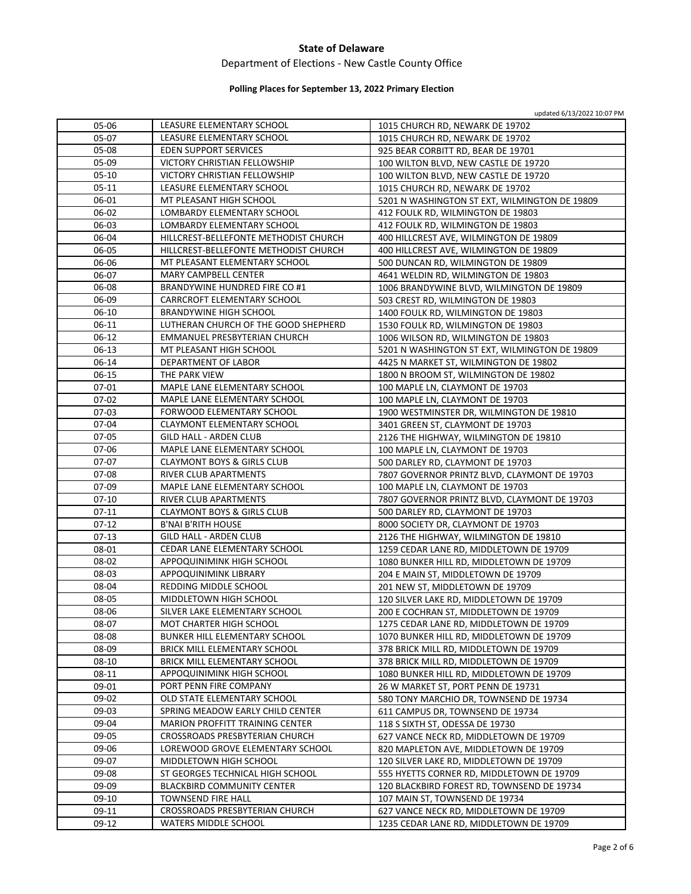### Department of Elections ‐ New Castle County Office

# **Polling Places for September 13, 2022 Primary Election**

| 05-06     | LEASURE ELEMENTARY SCHOOL              | 1015 CHURCH RD, NEWARK DE 19702               |
|-----------|----------------------------------------|-----------------------------------------------|
| 05-07     | LEASURE ELEMENTARY SCHOOL              | 1015 CHURCH RD, NEWARK DE 19702               |
| 05-08     | <b>EDEN SUPPORT SERVICES</b>           | 925 BEAR CORBITT RD, BEAR DE 19701            |
| 05-09     | VICTORY CHRISTIAN FELLOWSHIP           | 100 WILTON BLVD, NEW CASTLE DE 19720          |
| $05-10$   | VICTORY CHRISTIAN FELLOWSHIP           | 100 WILTON BLVD, NEW CASTLE DE 19720          |
| $05-11$   | LEASURE ELEMENTARY SCHOOL              | 1015 CHURCH RD, NEWARK DE 19702               |
| 06-01     | MT PLEASANT HIGH SCHOOL                | 5201 N WASHINGTON ST EXT, WILMINGTON DE 19809 |
| 06-02     | LOMBARDY ELEMENTARY SCHOOL             | 412 FOULK RD, WILMINGTON DE 19803             |
| 06-03     | LOMBARDY ELEMENTARY SCHOOL             | 412 FOULK RD, WILMINGTON DE 19803             |
| 06-04     | HILLCREST-BELLEFONTE METHODIST CHURCH  | 400 HILLCREST AVE, WILMINGTON DE 19809        |
| 06-05     | HILLCREST-BELLEFONTE METHODIST CHURCH  | 400 HILLCREST AVE, WILMINGTON DE 19809        |
| 06-06     | MT PLEASANT ELEMENTARY SCHOOL          | 500 DUNCAN RD, WILMINGTON DE 19809            |
| 06-07     | MARY CAMPBELL CENTER                   | 4641 WELDIN RD, WILMINGTON DE 19803           |
| 06-08     | BRANDYWINE HUNDRED FIRE CO #1          | 1006 BRANDYWINE BLVD, WILMINGTON DE 19809     |
| 06-09     | CARRCROFT ELEMENTARY SCHOOL            | 503 CREST RD, WILMINGTON DE 19803             |
| $06-10$   | BRANDYWINE HIGH SCHOOL                 | 1400 FOULK RD, WILMINGTON DE 19803            |
| 06-11     | LUTHERAN CHURCH OF THE GOOD SHEPHERD   | 1530 FOULK RD, WILMINGTON DE 19803            |
| 06-12     | EMMANUEL PRESBYTERIAN CHURCH           | 1006 WILSON RD, WILMINGTON DE 19803           |
| $06-13$   | MT PLEASANT HIGH SCHOOL                | 5201 N WASHINGTON ST EXT, WILMINGTON DE 19809 |
| 06-14     | DEPARTMENT OF LABOR                    | 4425 N MARKET ST, WILMINGTON DE 19802         |
| 06-15     | THE PARK VIEW                          | 1800 N BROOM ST, WILMINGTON DE 19802          |
| 07-01     | MAPLE LANE ELEMENTARY SCHOOL           | 100 MAPLE LN, CLAYMONT DE 19703               |
| 07-02     | MAPLE LANE ELEMENTARY SCHOOL           | 100 MAPLE LN, CLAYMONT DE 19703               |
| $07 - 03$ | FORWOOD ELEMENTARY SCHOOL              | 1900 WESTMINSTER DR, WILMINGTON DE 19810      |
| 07-04     | CLAYMONT ELEMENTARY SCHOOL             | 3401 GREEN ST, CLAYMONT DE 19703              |
| 07-05     | <b>GILD HALL - ARDEN CLUB</b>          | 2126 THE HIGHWAY, WILMINGTON DE 19810         |
| 07-06     | MAPLE LANE ELEMENTARY SCHOOL           | 100 MAPLE LN, CLAYMONT DE 19703               |
| 07-07     | <b>CLAYMONT BOYS &amp; GIRLS CLUB</b>  | 500 DARLEY RD, CLAYMONT DE 19703              |
| 07-08     | RIVER CLUB APARTMENTS                  | 7807 GOVERNOR PRINTZ BLVD, CLAYMONT DE 19703  |
| 07-09     | MAPLE LANE ELEMENTARY SCHOOL           | 100 MAPLE LN, CLAYMONT DE 19703               |
| $07-10$   | RIVER CLUB APARTMENTS                  | 7807 GOVERNOR PRINTZ BLVD, CLAYMONT DE 19703  |
| $07-11$   | <b>CLAYMONT BOYS &amp; GIRLS CLUB</b>  | 500 DARLEY RD, CLAYMONT DE 19703              |
| $07-12$   | <b>B'NAI B'RITH HOUSE</b>              | 8000 SOCIETY DR, CLAYMONT DE 19703            |
| 07-13     | GILD HALL - ARDEN CLUB                 | 2126 THE HIGHWAY, WILMINGTON DE 19810         |
| 08-01     | CEDAR LANE ELEMENTARY SCHOOL           | 1259 CEDAR LANE RD, MIDDLETOWN DE 19709       |
| 08-02     | APPOQUINIMINK HIGH SCHOOL              | 1080 BUNKER HILL RD, MIDDLETOWN DE 19709      |
| 08-03     | APPOQUINIMINK LIBRARY                  | 204 E MAIN ST, MIDDLETOWN DE 19709            |
| 08-04     | REDDING MIDDLE SCHOOL                  | 201 NEW ST, MIDDLETOWN DE 19709               |
| 08-05     | MIDDLETOWN HIGH SCHOOL                 | 120 SILVER LAKE RD, MIDDLETOWN DE 19709       |
| 08-06     | SILVER LAKE ELEMENTARY SCHOOL          | 200 E COCHRAN ST, MIDDLETOWN DE 19709         |
| 08-07     | MOT CHARTER HIGH SCHOOL                | 1275 CEDAR LANE RD, MIDDLETOWN DE 19709       |
| 08-08     | BUNKER HILL ELEMENTARY SCHOOL          | 1070 BUNKER HILL RD, MIDDLETOWN DE 19709      |
| 08-09     | BRICK MILL ELEMENTARY SCHOOL           | 378 BRICK MILL RD, MIDDLETOWN DE 19709        |
| $08 - 10$ | BRICK MILL ELEMENTARY SCHOOL           | 378 BRICK MILL RD, MIDDLETOWN DE 19709        |
| 08-11     | APPOQUINIMINK HIGH SCHOOL              | 1080 BUNKER HILL RD, MIDDLETOWN DE 19709      |
| 09-01     | PORT PENN FIRE COMPANY                 | 26 W MARKET ST, PORT PENN DE 19731            |
| 09-02     | OLD STATE ELEMENTARY SCHOOL            | 580 TONY MARCHIO DR, TOWNSEND DE 19734        |
| 09-03     | SPRING MEADOW EARLY CHILD CENTER       | 611 CAMPUS DR, TOWNSEND DE 19734              |
| 09-04     | <b>MARION PROFFITT TRAINING CENTER</b> | 118 S SIXTH ST, ODESSA DE 19730               |
| 09-05     | CROSSROADS PRESBYTERIAN CHURCH         | 627 VANCE NECK RD, MIDDLETOWN DE 19709        |
| 09-06     | LOREWOOD GROVE ELEMENTARY SCHOOL       | 820 MAPLETON AVE, MIDDLETOWN DE 19709         |
| 09-07     | MIDDLETOWN HIGH SCHOOL                 | 120 SILVER LAKE RD, MIDDLETOWN DE 19709       |
| 09-08     | ST GEORGES TECHNICAL HIGH SCHOOL       | 555 HYETTS CORNER RD, MIDDLETOWN DE 19709     |
| 09-09     | <b>BLACKBIRD COMMUNITY CENTER</b>      | 120 BLACKBIRD FOREST RD, TOWNSEND DE 19734    |
| 09-10     | <b>TOWNSEND FIRE HALL</b>              | 107 MAIN ST, TOWNSEND DE 19734                |
| 09-11     | CROSSROADS PRESBYTERIAN CHURCH         | 627 VANCE NECK RD, MIDDLETOWN DE 19709        |
| $09-12$   | WATERS MIDDLE SCHOOL                   | 1235 CEDAR LANE RD, MIDDLETOWN DE 19709       |
|           |                                        |                                               |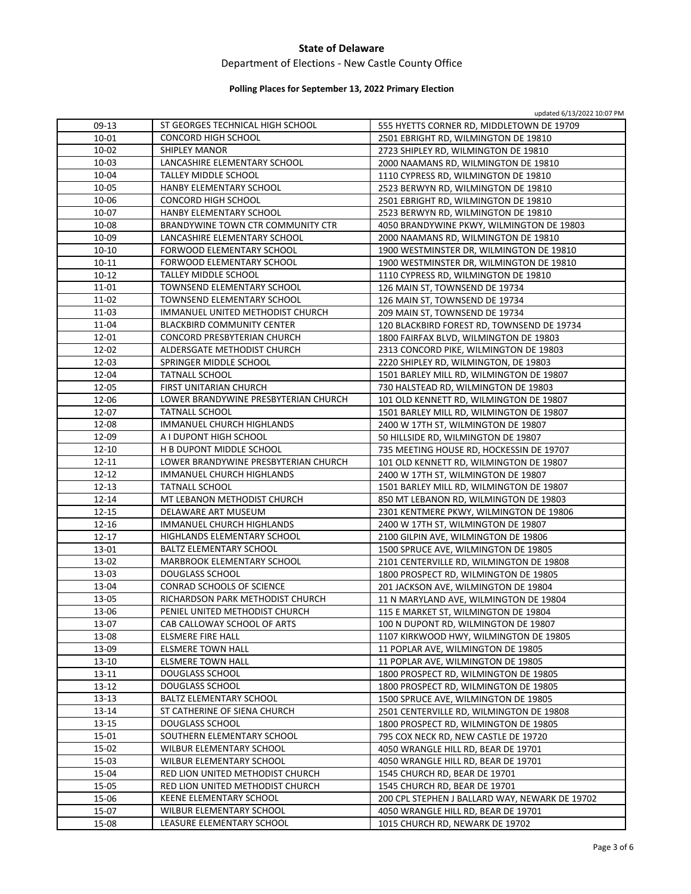### Department of Elections ‐ New Castle County Office

#### **Polling Places for September 13, 2022 Primary Election**

| 09-13          | ST GEORGES TECHNICAL HIGH SCHOOL                             | 555 HYETTS CORNER RD, MIDDLETOWN DE 19709                                      |
|----------------|--------------------------------------------------------------|--------------------------------------------------------------------------------|
| 10-01          | <b>CONCORD HIGH SCHOOL</b>                                   | 2501 EBRIGHT RD, WILMINGTON DE 19810                                           |
| 10-02          | <b>SHIPLEY MANOR</b>                                         | 2723 SHIPLEY RD, WILMINGTON DE 19810                                           |
| 10-03          | LANCASHIRE ELEMENTARY SCHOOL                                 | 2000 NAAMANS RD, WILMINGTON DE 19810                                           |
| 10-04          | <b>TALLEY MIDDLE SCHOOL</b>                                  | 1110 CYPRESS RD, WILMINGTON DE 19810                                           |
| 10-05          | HANBY ELEMENTARY SCHOOL                                      | 2523 BERWYN RD, WILMINGTON DE 19810                                            |
| 10-06          | CONCORD HIGH SCHOOL                                          | 2501 EBRIGHT RD, WILMINGTON DE 19810                                           |
| 10-07          | HANBY ELEMENTARY SCHOOL                                      | 2523 BERWYN RD, WILMINGTON DE 19810                                            |
| 10-08          | BRANDYWINE TOWN CTR COMMUNITY CTR                            | 4050 BRANDYWINE PKWY, WILMINGTON DE 19803                                      |
| 10-09          | LANCASHIRE ELEMENTARY SCHOOL                                 | 2000 NAAMANS RD, WILMINGTON DE 19810                                           |
| 10-10          | FORWOOD ELEMENTARY SCHOOL                                    | 1900 WESTMINSTER DR, WILMINGTON DE 19810                                       |
| $10 - 11$      | FORWOOD ELEMENTARY SCHOOL                                    | 1900 WESTMINSTER DR, WILMINGTON DE 19810                                       |
| $10 - 12$      | TALLEY MIDDLE SCHOOL                                         | 1110 CYPRESS RD, WILMINGTON DE 19810                                           |
| 11-01          | TOWNSEND ELEMENTARY SCHOOL                                   | 126 MAIN ST, TOWNSEND DE 19734                                                 |
| 11-02          | TOWNSEND ELEMENTARY SCHOOL                                   | 126 MAIN ST, TOWNSEND DE 19734                                                 |
| 11-03          | IMMANUEL UNITED METHODIST CHURCH                             | 209 MAIN ST, TOWNSEND DE 19734                                                 |
| 11-04          | <b>BLACKBIRD COMMUNITY CENTER</b>                            | 120 BLACKBIRD FOREST RD, TOWNSEND DE 19734                                     |
| 12-01          | CONCORD PRESBYTERIAN CHURCH                                  | 1800 FAIRFAX BLVD, WILMINGTON DE 19803                                         |
| 12-02          | ALDERSGATE METHODIST CHURCH                                  | 2313 CONCORD PIKE, WILMINGTON DE 19803                                         |
| 12-03          | SPRINGER MIDDLE SCHOOL                                       | 2220 SHIPLEY RD, WILMINGTON, DE 19803                                          |
| 12-04          | <b>TATNALL SCHOOL</b>                                        | 1501 BARLEY MILL RD, WILMINGTON DE 19807                                       |
| 12-05          | FIRST UNITARIAN CHURCH                                       | 730 HALSTEAD RD, WILMINGTON DE 19803                                           |
| 12-06          | LOWER BRANDYWINE PRESBYTERIAN CHURCH                         | 101 OLD KENNETT RD, WILMINGTON DE 19807                                        |
| 12-07          | <b>TATNALL SCHOOL</b>                                        | 1501 BARLEY MILL RD, WILMINGTON DE 19807                                       |
| 12-08          | IMMANUEL CHURCH HIGHLANDS                                    | 2400 W 17TH ST, WILMINGTON DE 19807                                            |
| 12-09          | A I DUPONT HIGH SCHOOL                                       | 50 HILLSIDE RD, WILMINGTON DE 19807                                            |
| 12-10          | H B DUPONT MIDDLE SCHOOL                                     | 735 MEETING HOUSE RD, HOCKESSIN DE 19707                                       |
| 12-11          | LOWER BRANDYWINE PRESBYTERIAN CHURCH                         | 101 OLD KENNETT RD, WILMINGTON DE 19807                                        |
| 12-12          | IMMANUEL CHURCH HIGHLANDS                                    | 2400 W 17TH ST, WILMINGTON DE 19807                                            |
| $12 - 13$      | <b>TATNALL SCHOOL</b>                                        | 1501 BARLEY MILL RD, WILMINGTON DE 19807                                       |
| $12 - 14$      | MT LEBANON METHODIST CHURCH                                  | 850 MT LEBANON RD, WILMINGTON DE 19803                                         |
| 12-15          | DELAWARE ART MUSEUM                                          | 2301 KENTMERE PKWY, WILMINGTON DE 19806                                        |
| 12-16          | IMMANUEL CHURCH HIGHLANDS                                    | 2400 W 17TH ST, WILMINGTON DE 19807                                            |
| $12 - 17$      | HIGHLANDS ELEMENTARY SCHOOL                                  | 2100 GILPIN AVE, WILMINGTON DE 19806                                           |
| 13-01          | <b>BALTZ ELEMENTARY SCHOOL</b><br>MARBROOK ELEMENTARY SCHOOL | 1500 SPRUCE AVE, WILMINGTON DE 19805                                           |
| 13-02          |                                                              | 2101 CENTERVILLE RD, WILMINGTON DE 19808                                       |
| 13-03          | DOUGLASS SCHOOL<br>CONRAD SCHOOLS OF SCIENCE                 | 1800 PROSPECT RD, WILMINGTON DE 19805                                          |
| 13-04          | RICHARDSON PARK METHODIST CHURCH                             | 201 JACKSON AVE, WILMINGTON DE 19804                                           |
| 13-05<br>13-06 | PENIEL UNITED METHODIST CHURCH                               | 11 N MARYLAND AVE, WILMINGTON DE 19804<br>115 E MARKET ST, WILMINGTON DE 19804 |
| 13-07          | CAB CALLOWAY SCHOOL OF ARTS                                  |                                                                                |
| 13-08          | ELSMERE FIRE HALL                                            | 100 N DUPONT RD, WILMINGTON DE 19807<br>1107 KIRKWOOD HWY, WILMINGTON DE 19805 |
| 13-09          | <b>ELSMERE TOWN HALL</b>                                     | 11 POPLAR AVE, WILMINGTON DE 19805                                             |
| $13 - 10$      | <b>ELSMERE TOWN HALL</b>                                     | 11 POPLAR AVE, WILMINGTON DE 19805                                             |
| $13 - 11$      | DOUGLASS SCHOOL                                              | 1800 PROSPECT RD, WILMINGTON DE 19805                                          |
| 13-12          | DOUGLASS SCHOOL                                              | 1800 PROSPECT RD, WILMINGTON DE 19805                                          |
| $13 - 13$      | BALTZ ELEMENTARY SCHOOL                                      | 1500 SPRUCE AVE, WILMINGTON DE 19805                                           |
| $13 - 14$      | ST CATHERINE OF SIENA CHURCH                                 | 2501 CENTERVILLE RD, WILMINGTON DE 19808                                       |
| $13 - 15$      | <b>DOUGLASS SCHOOL</b>                                       | 1800 PROSPECT RD, WILMINGTON DE 19805                                          |
| 15-01          | SOUTHERN ELEMENTARY SCHOOL                                   | 795 COX NECK RD, NEW CASTLE DE 19720                                           |
| 15-02          | WILBUR ELEMENTARY SCHOOL                                     | 4050 WRANGLE HILL RD, BEAR DE 19701                                            |
| 15-03          | WILBUR ELEMENTARY SCHOOL                                     | 4050 WRANGLE HILL RD, BEAR DE 19701                                            |
| 15-04          | RED LION UNITED METHODIST CHURCH                             | 1545 CHURCH RD, BEAR DE 19701                                                  |
| 15-05          | RED LION UNITED METHODIST CHURCH                             | 1545 CHURCH RD, BEAR DE 19701                                                  |
| 15-06          | KEENE ELEMENTARY SCHOOL                                      | 200 CPL STEPHEN J BALLARD WAY, NEWARK DE 19702                                 |
| 15-07          | WILBUR ELEMENTARY SCHOOL                                     | 4050 WRANGLE HILL RD, BEAR DE 19701                                            |
| 15-08          | LEASURE ELEMENTARY SCHOOL                                    | 1015 CHURCH RD, NEWARK DE 19702                                                |

Ξ

 $\mathbb{R}$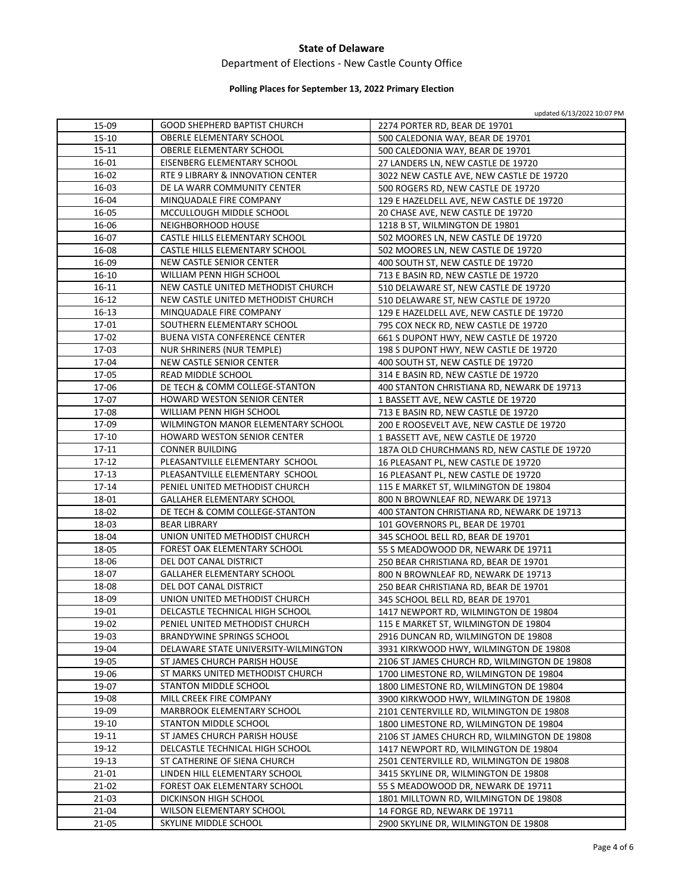### Department of Elections ‐ New Castle County Office

# **Polling Places for September 13, 2022 Primary Election**

| 15-09     | <b>GOOD SHEPHERD BAPTIST CHURCH</b>  | 2274 PORTER RD, BEAR DE 19701                |
|-----------|--------------------------------------|----------------------------------------------|
| 15-10     | <b>OBERLE ELEMENTARY SCHOOL</b>      | 500 CALEDONIA WAY, BEAR DE 19701             |
| 15-11     | OBERLE ELEMENTARY SCHOOL             | 500 CALEDONIA WAY, BEAR DE 19701             |
| 16-01     | EISENBERG ELEMENTARY SCHOOL          | 27 LANDERS LN, NEW CASTLE DE 19720           |
| 16-02     | RTE 9 LIBRARY & INNOVATION CENTER    | 3022 NEW CASTLE AVE, NEW CASTLE DE 19720     |
| $16-03$   | DE LA WARR COMMUNITY CENTER          | 500 ROGERS RD, NEW CASTLE DE 19720           |
| 16-04     | MINQUADALE FIRE COMPANY              | 129 E HAZELDELL AVE, NEW CASTLE DE 19720     |
| 16-05     | MCCULLOUGH MIDDLE SCHOOL             | 20 CHASE AVE, NEW CASTLE DE 19720            |
| 16-06     | NEIGHBORHOOD HOUSE                   | 1218 B ST, WILMINGTON DE 19801               |
| 16-07     | CASTLE HILLS ELEMENTARY SCHOOL       | 502 MOORES LN, NEW CASTLE DE 19720           |
| 16-08     | CASTLE HILLS ELEMENTARY SCHOOL       | 502 MOORES LN, NEW CASTLE DE 19720           |
| 16-09     | NEW CASTLE SENIOR CENTER             | 400 SOUTH ST, NEW CASTLE DE 19720            |
| 16-10     | WILLIAM PENN HIGH SCHOOL             | 713 E BASIN RD, NEW CASTLE DE 19720          |
| $16 - 11$ | NEW CASTLE UNITED METHODIST CHURCH   | 510 DELAWARE ST, NEW CASTLE DE 19720         |
| 16-12     | NEW CASTLE UNITED METHODIST CHURCH   | 510 DELAWARE ST, NEW CASTLE DE 19720         |
| 16-13     | MINQUADALE FIRE COMPANY              | 129 E HAZELDELL AVE, NEW CASTLE DE 19720     |
| 17-01     | SOUTHERN ELEMENTARY SCHOOL           | 795 COX NECK RD, NEW CASTLE DE 19720         |
| 17-02     | BUENA VISTA CONFERENCE CENTER        | 661 S DUPONT HWY, NEW CASTLE DE 19720        |
| 17-03     | NUR SHRINERS (NUR TEMPLE)            | 198 S DUPONT HWY, NEW CASTLE DE 19720        |
| 17-04     | NEW CASTLE SENIOR CENTER             | 400 SOUTH ST, NEW CASTLE DE 19720            |
| 17-05     | READ MIDDLE SCHOOL                   | 314 E BASIN RD, NEW CASTLE DE 19720          |
| 17-06     | DE TECH & COMM COLLEGE-STANTON       | 400 STANTON CHRISTIANA RD, NEWARK DE 19713   |
| 17-07     | <b>HOWARD WESTON SENIOR CENTER</b>   | 1 BASSETT AVE, NEW CASTLE DE 19720           |
| 17-08     | WILLIAM PENN HIGH SCHOOL             | 713 E BASIN RD, NEW CASTLE DE 19720          |
| 17-09     | WILMINGTON MANOR ELEMENTARY SCHOOL   | 200 E ROOSEVELT AVE, NEW CASTLE DE 19720     |
| $17 - 10$ | HOWARD WESTON SENIOR CENTER          | 1 BASSETT AVE, NEW CASTLE DE 19720           |
| 17-11     | <b>CONNER BUILDING</b>               | 187A OLD CHURCHMANS RD, NEW CASTLE DE 19720  |
| 17-12     | PLEASANTVILLE ELEMENTARY SCHOOL      | 16 PLEASANT PL, NEW CASTLE DE 19720          |
| 17-13     | PLEASANTVILLE ELEMENTARY SCHOOL      | 16 PLEASANT PL, NEW CASTLE DE 19720          |
| $17 - 14$ | PENIEL UNITED METHODIST CHURCH       | 115 E MARKET ST, WILMINGTON DE 19804         |
| 18-01     | <b>GALLAHER ELEMENTARY SCHOOL</b>    | 800 N BROWNLEAF RD, NEWARK DE 19713          |
| 18-02     | DE TECH & COMM COLLEGE-STANTON       | 400 STANTON CHRISTIANA RD, NEWARK DE 19713   |
| 18-03     | <b>BEAR LIBRARY</b>                  | 101 GOVERNORS PL, BEAR DE 19701              |
| 18-04     | UNION UNITED METHODIST CHURCH        | 345 SCHOOL BELL RD, BEAR DE 19701            |
| 18-05     | FOREST OAK ELEMENTARY SCHOOL         | 55 S MEADOWOOD DR, NEWARK DE 19711           |
| 18-06     | DEL DOT CANAL DISTRICT               | 250 BEAR CHRISTIANA RD, BEAR DE 19701        |
| 18-07     | <b>GALLAHER ELEMENTARY SCHOOL</b>    | 800 N BROWNLEAF RD, NEWARK DE 19713          |
| 18-08     | DEL DOT CANAL DISTRICT               | 250 BEAR CHRISTIANA RD, BEAR DE 19701        |
| 18-09     | UNION UNITED METHODIST CHURCH        | 345 SCHOOL BELL RD, BEAR DE 19701            |
| 19-01     | DELCASTLE TECHNICAL HIGH SCHOOL      | 1417 NEWPORT RD, WILMINGTON DE 19804         |
| 19-02     | PENIEL UNITED METHODIST CHURCH       | 115 E MARKET ST, WILMINGTON DE 19804         |
| 19-03     | <b>BRANDYWINE SPRINGS SCHOOL</b>     | 2916 DUNCAN RD, WILMINGTON DE 19808          |
| 19-04     | DELAWARE STATE UNIVERSITY-WILMINGTON | 3931 KIRKWOOD HWY, WILMINGTON DE 19808       |
| 19-05     | ST JAMES CHURCH PARISH HOUSE         | 2106 ST JAMES CHURCH RD, WILMINGTON DE 19808 |
| 19-06     | ST MARKS UNITED METHODIST CHURCH     | 1700 LIMESTONE RD, WILMINGTON DE 19804       |
| 19-07     | STANTON MIDDLE SCHOOL                | 1800 LIMESTONE RD, WILMINGTON DE 19804       |
| 19-08     | MILL CREEK FIRE COMPANY              | 3900 KIRKWOOD HWY, WILMINGTON DE 19808       |
| 19-09     | MARBROOK ELEMENTARY SCHOOL           | 2101 CENTERVILLE RD, WILMINGTON DE 19808     |
| 19-10     | STANTON MIDDLE SCHOOL                | 1800 LIMESTONE RD, WILMINGTON DE 19804       |
| 19-11     | ST JAMES CHURCH PARISH HOUSE         | 2106 ST JAMES CHURCH RD, WILMINGTON DE 19808 |
| 19-12     | DELCASTLE TECHNICAL HIGH SCHOOL      | 1417 NEWPORT RD, WILMINGTON DE 19804         |
| 19-13     | ST CATHERINE OF SIENA CHURCH         | 2501 CENTERVILLE RD, WILMINGTON DE 19808     |
| 21-01     | LINDEN HILL ELEMENTARY SCHOOL        | 3415 SKYLINE DR, WILMINGTON DE 19808         |
| 21-02     | FOREST OAK ELEMENTARY SCHOOL         | 55 S MEADOWOOD DR, NEWARK DE 19711           |
| 21-03     | DICKINSON HIGH SCHOOL                | 1801 MILLTOWN RD, WILMINGTON DE 19808        |
| 21-04     | WILSON ELEMENTARY SCHOOL             | 14 FORGE RD, NEWARK DE 19711                 |
| 21-05     | SKYLINE MIDDLE SCHOOL                | 2900 SKYLINE DR, WILMINGTON DE 19808         |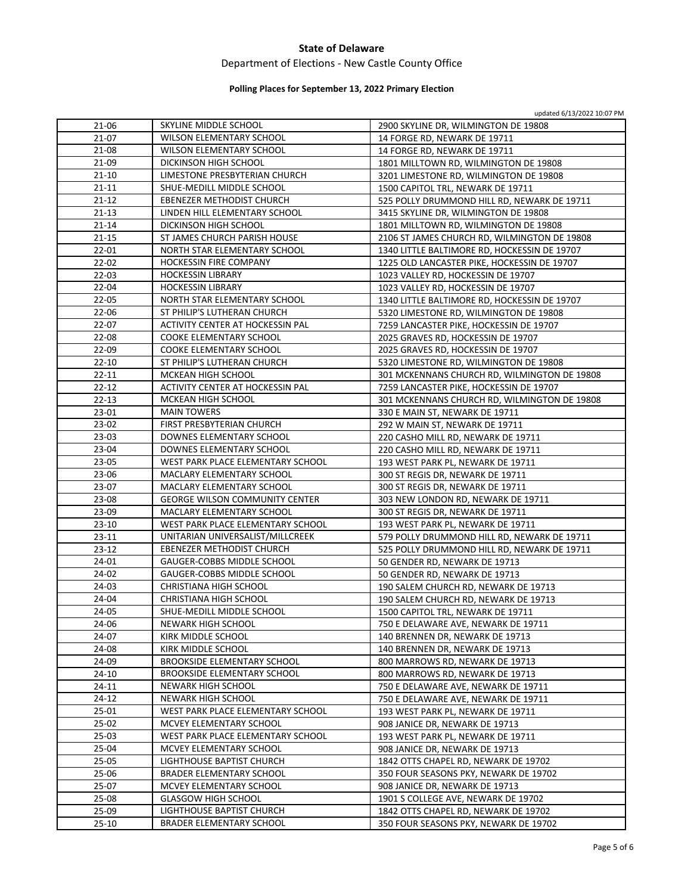### Department of Elections ‐ New Castle County Office

# **Polling Places for September 13, 2022 Primary Election**

| 21-06     | SKYLINE MIDDLE SCHOOL                 | 2900 SKYLINE DR, WILMINGTON DE 19808         |
|-----------|---------------------------------------|----------------------------------------------|
| 21-07     | WILSON ELEMENTARY SCHOOL              | 14 FORGE RD, NEWARK DE 19711                 |
| 21-08     | WILSON ELEMENTARY SCHOOL              | 14 FORGE RD, NEWARK DE 19711                 |
| 21-09     | DICKINSON HIGH SCHOOL                 | 1801 MILLTOWN RD, WILMINGTON DE 19808        |
| $21 - 10$ | LIMESTONE PRESBYTERIAN CHURCH         | 3201 LIMESTONE RD, WILMINGTON DE 19808       |
| $21 - 11$ | SHUE-MEDILL MIDDLE SCHOOL             | 1500 CAPITOL TRL, NEWARK DE 19711            |
| $21 - 12$ | EBENEZER METHODIST CHURCH             | 525 POLLY DRUMMOND HILL RD, NEWARK DE 19711  |
| $21 - 13$ | LINDEN HILL ELEMENTARY SCHOOL         | 3415 SKYLINE DR, WILMINGTON DE 19808         |
| $21 - 14$ | DICKINSON HIGH SCHOOL                 | 1801 MILLTOWN RD, WILMINGTON DE 19808        |
| 21-15     | ST JAMES CHURCH PARISH HOUSE          | 2106 ST JAMES CHURCH RD, WILMINGTON DE 19808 |
| $22 - 01$ | NORTH STAR ELEMENTARY SCHOOL          | 1340 LITTLE BALTIMORE RD, HOCKESSIN DE 19707 |
| $22 - 02$ | HOCKESSIN FIRE COMPANY                | 1225 OLD LANCASTER PIKE, HOCKESSIN DE 19707  |
| $22 - 03$ | <b>HOCKESSIN LIBRARY</b>              | 1023 VALLEY RD, HOCKESSIN DE 19707           |
| 22-04     | <b>HOCKESSIN LIBRARY</b>              | 1023 VALLEY RD, HOCKESSIN DE 19707           |
| 22-05     | NORTH STAR ELEMENTARY SCHOOL          | 1340 LITTLE BALTIMORE RD, HOCKESSIN DE 19707 |
| 22-06     | ST PHILIP'S LUTHERAN CHURCH           | 5320 LIMESTONE RD, WILMINGTON DE 19808       |
| 22-07     | ACTIVITY CENTER AT HOCKESSIN PAL      | 7259 LANCASTER PIKE, HOCKESSIN DE 19707      |
| 22-08     | <b>COOKE ELEMENTARY SCHOOL</b>        | 2025 GRAVES RD, HOCKESSIN DE 19707           |
| 22-09     | <b>COOKE ELEMENTARY SCHOOL</b>        | 2025 GRAVES RD, HOCKESSIN DE 19707           |
| $22 - 10$ | ST PHILIP'S LUTHERAN CHURCH           | 5320 LIMESTONE RD, WILMINGTON DE 19808       |
| $22 - 11$ | MCKEAN HIGH SCHOOL                    | 301 MCKENNANS CHURCH RD, WILMINGTON DE 19808 |
| $22 - 12$ | ACTIVITY CENTER AT HOCKESSIN PAL      | 7259 LANCASTER PIKE, HOCKESSIN DE 19707      |
| $22 - 13$ | MCKEAN HIGH SCHOOL                    | 301 MCKENNANS CHURCH RD, WILMINGTON DE 19808 |
| 23-01     | <b>MAIN TOWERS</b>                    | 330 E MAIN ST, NEWARK DE 19711               |
| 23-02     | FIRST PRESBYTERIAN CHURCH             | 292 W MAIN ST, NEWARK DE 19711               |
| $23-03$   | DOWNES ELEMENTARY SCHOOL              | 220 CASHO MILL RD, NEWARK DE 19711           |
| 23-04     | DOWNES ELEMENTARY SCHOOL              | 220 CASHO MILL RD, NEWARK DE 19711           |
| 23-05     | WEST PARK PLACE ELEMENTARY SCHOOL     | 193 WEST PARK PL, NEWARK DE 19711            |
| 23-06     | MACLARY ELEMENTARY SCHOOL             | 300 ST REGIS DR, NEWARK DE 19711             |
| 23-07     | MACLARY ELEMENTARY SCHOOL             | 300 ST REGIS DR, NEWARK DE 19711             |
| 23-08     | <b>GEORGE WILSON COMMUNITY CENTER</b> | 303 NEW LONDON RD, NEWARK DE 19711           |
| 23-09     | MACLARY ELEMENTARY SCHOOL             | 300 ST REGIS DR, NEWARK DE 19711             |
| 23-10     | WEST PARK PLACE ELEMENTARY SCHOOL     | 193 WEST PARK PL, NEWARK DE 19711            |
| 23-11     | UNITARIAN UNIVERSALIST/MILLCREEK      | 579 POLLY DRUMMOND HILL RD, NEWARK DE 19711  |
| 23-12     | EBENEZER METHODIST CHURCH             | 525 POLLY DRUMMOND HILL RD, NEWARK DE 19711  |
| 24-01     | GAUGER-COBBS MIDDLE SCHOOL            | 50 GENDER RD, NEWARK DE 19713                |
| 24-02     | GAUGER-COBBS MIDDLE SCHOOL            | 50 GENDER RD, NEWARK DE 19713                |
| 24-03     | CHRISTIANA HIGH SCHOOL                | 190 SALEM CHURCH RD, NEWARK DE 19713         |
| 24-04     | <b>CHRISTIANA HIGH SCHOOL</b>         | 190 SALEM CHURCH RD, NEWARK DE 19713         |
| 24-05     | SHUE-MEDILL MIDDLE SCHOOL             | 1500 CAPITOL TRL, NEWARK DE 19711            |
| 24-06     | NEWARK HIGH SCHOOL                    | 750 E DELAWARE AVE, NEWARK DE 19711          |
| 24-07     | KIRK MIDDLE SCHOOL                    | 140 BRENNEN DR, NEWARK DE 19713              |
| 24-08     | KIRK MIDDLE SCHOOL                    | 140 BRENNEN DR, NEWARK DE 19713              |
| 24-09     | <b>BROOKSIDE ELEMENTARY SCHOOL</b>    | 800 MARROWS RD, NEWARK DE 19713              |
| 24-10     | BROOKSIDE ELEMENTARY SCHOOL           | 800 MARROWS RD, NEWARK DE 19713              |
| 24-11     | NEWARK HIGH SCHOOL                    | 750 E DELAWARE AVE, NEWARK DE 19711          |
| 24-12     | <b>NEWARK HIGH SCHOOL</b>             | 750 E DELAWARE AVE, NEWARK DE 19711          |
| 25-01     | WEST PARK PLACE ELEMENTARY SCHOOL     | 193 WEST PARK PL, NEWARK DE 19711            |
| 25-02     | MCVEY ELEMENTARY SCHOOL               | 908 JANICE DR, NEWARK DE 19713               |
| $25-03$   | WEST PARK PLACE ELEMENTARY SCHOOL     | 193 WEST PARK PL, NEWARK DE 19711            |
| 25-04     | MCVEY ELEMENTARY SCHOOL               | 908 JANICE DR, NEWARK DE 19713               |
| 25-05     | LIGHTHOUSE BAPTIST CHURCH             | 1842 OTTS CHAPEL RD, NEWARK DE 19702         |
| 25-06     | BRADER ELEMENTARY SCHOOL              | 350 FOUR SEASONS PKY, NEWARK DE 19702        |
| 25-07     | MCVEY ELEMENTARY SCHOOL               | 908 JANICE DR, NEWARK DE 19713               |
| 25-08     | <b>GLASGOW HIGH SCHOOL</b>            | 1901 S COLLEGE AVE, NEWARK DE 19702          |
| 25-09     | LIGHTHOUSE BAPTIST CHURCH             | 1842 OTTS CHAPEL RD, NEWARK DE 19702         |
| 25-10     | BRADER ELEMENTARY SCHOOL              | 350 FOUR SEASONS PKY, NEWARK DE 19702        |